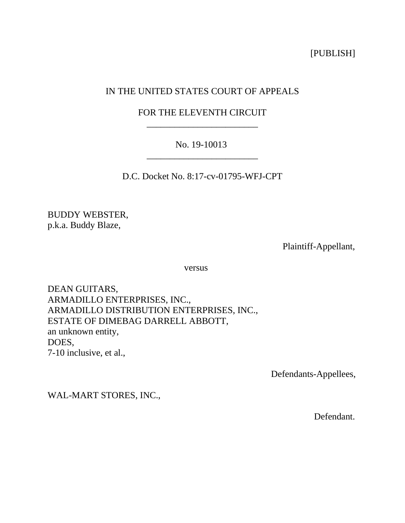[PUBLISH]

# IN THE UNITED STATES COURT OF APPEALS

# FOR THE ELEVENTH CIRCUIT \_\_\_\_\_\_\_\_\_\_\_\_\_\_\_\_\_\_\_\_\_\_\_\_

# No. 19-10013 \_\_\_\_\_\_\_\_\_\_\_\_\_\_\_\_\_\_\_\_\_\_\_\_

D.C. Docket No. 8:17-cv-01795-WFJ-CPT

BUDDY WEBSTER, p.k.a. Buddy Blaze,

Plaintiff-Appellant,

versus

DEAN GUITARS, ARMADILLO ENTERPRISES, INC., ARMADILLO DISTRIBUTION ENTERPRISES, INC., ESTATE OF DIMEBAG DARRELL ABBOTT, an unknown entity, DOES, 7-10 inclusive, et al.,

Defendants-Appellees,

WAL-MART STORES, INC.,

Defendant.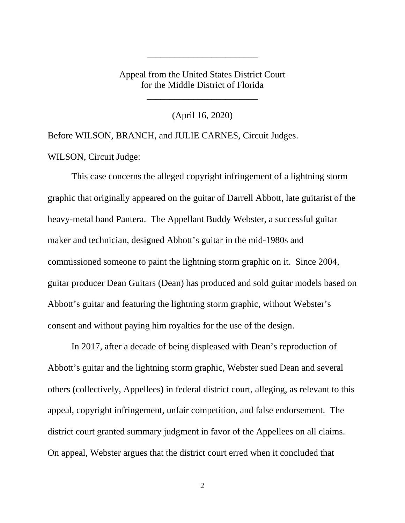Appeal from the United States District Court for the Middle District of Florida

\_\_\_\_\_\_\_\_\_\_\_\_\_\_\_\_\_\_\_\_\_\_\_\_

\_\_\_\_\_\_\_\_\_\_\_\_\_\_\_\_\_\_\_\_\_\_\_\_

(April 16, 2020)

Before WILSON, BRANCH, and JULIE CARNES, Circuit Judges. WILSON, Circuit Judge:

This case concerns the alleged copyright infringement of a lightning storm graphic that originally appeared on the guitar of Darrell Abbott, late guitarist of the heavy-metal band Pantera. The Appellant Buddy Webster, a successful guitar maker and technician, designed Abbott's guitar in the mid-1980s and commissioned someone to paint the lightning storm graphic on it. Since 2004, guitar producer Dean Guitars (Dean) has produced and sold guitar models based on Abbott's guitar and featuring the lightning storm graphic, without Webster's consent and without paying him royalties for the use of the design.

In 2017, after a decade of being displeased with Dean's reproduction of Abbott's guitar and the lightning storm graphic, Webster sued Dean and several others (collectively, Appellees) in federal district court, alleging, as relevant to this appeal, copyright infringement, unfair competition, and false endorsement. The district court granted summary judgment in favor of the Appellees on all claims. On appeal, Webster argues that the district court erred when it concluded that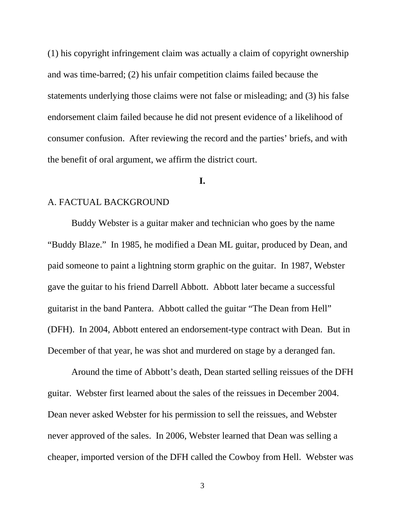(1) his copyright infringement claim was actually a claim of copyright ownership and was time-barred; (2) his unfair competition claims failed because the statements underlying those claims were not false or misleading; and (3) his false endorsement claim failed because he did not present evidence of a likelihood of consumer confusion. After reviewing the record and the parties' briefs, and with the benefit of oral argument, we affirm the district court.

#### **I.**

### A. FACTUAL BACKGROUND

Buddy Webster is a guitar maker and technician who goes by the name "Buddy Blaze." In 1985, he modified a Dean ML guitar, produced by Dean, and paid someone to paint a lightning storm graphic on the guitar. In 1987, Webster gave the guitar to his friend Darrell Abbott. Abbott later became a successful guitarist in the band Pantera. Abbott called the guitar "The Dean from Hell" (DFH). In 2004, Abbott entered an endorsement-type contract with Dean. But in December of that year, he was shot and murdered on stage by a deranged fan.

Around the time of Abbott's death, Dean started selling reissues of the DFH guitar. Webster first learned about the sales of the reissues in December 2004. Dean never asked Webster for his permission to sell the reissues, and Webster never approved of the sales. In 2006, Webster learned that Dean was selling a cheaper, imported version of the DFH called the Cowboy from Hell. Webster was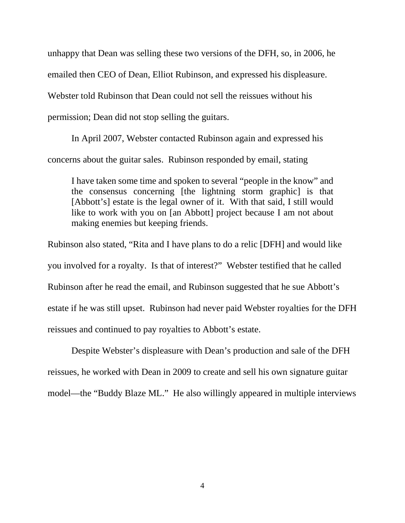unhappy that Dean was selling these two versions of the DFH, so, in 2006, he emailed then CEO of Dean, Elliot Rubinson, and expressed his displeasure. Webster told Rubinson that Dean could not sell the reissues without his permission; Dean did not stop selling the guitars.

In April 2007, Webster contacted Rubinson again and expressed his concerns about the guitar sales. Rubinson responded by email, stating

I have taken some time and spoken to several "people in the know" and the consensus concerning [the lightning storm graphic] is that [Abbott's] estate is the legal owner of it. With that said, I still would like to work with you on [an Abbott] project because I am not about making enemies but keeping friends.

Rubinson also stated, "Rita and I have plans to do a relic [DFH] and would like you involved for a royalty. Is that of interest?" Webster testified that he called Rubinson after he read the email, and Rubinson suggested that he sue Abbott's estate if he was still upset. Rubinson had never paid Webster royalties for the DFH reissues and continued to pay royalties to Abbott's estate.

Despite Webster's displeasure with Dean's production and sale of the DFH reissues, he worked with Dean in 2009 to create and sell his own signature guitar model—the "Buddy Blaze ML." He also willingly appeared in multiple interviews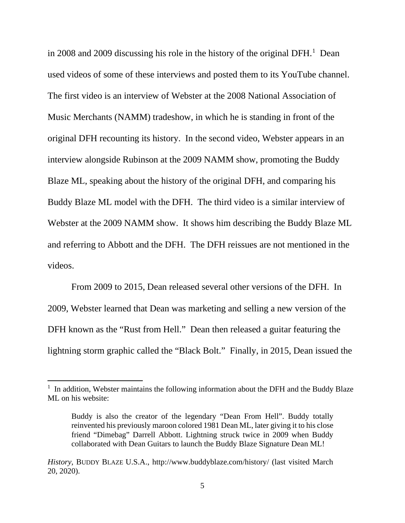in 2008 and 2009 discussing his role in the history of the original  $DFH$ <sup>[1](#page-4-0)</sup>. Dean used videos of some of these interviews and posted them to its YouTube channel. The first video is an interview of Webster at the 2008 National Association of Music Merchants (NAMM) tradeshow, in which he is standing in front of the original DFH recounting its history. In the second video, Webster appears in an interview alongside Rubinson at the 2009 NAMM show, promoting the Buddy Blaze ML, speaking about the history of the original DFH, and comparing his Buddy Blaze ML model with the DFH. The third video is a similar interview of Webster at the 2009 NAMM show. It shows him describing the Buddy Blaze ML and referring to Abbott and the DFH. The DFH reissues are not mentioned in the videos.

From 2009 to 2015, Dean released several other versions of the DFH. In 2009, Webster learned that Dean was marketing and selling a new version of the DFH known as the "Rust from Hell." Dean then released a guitar featuring the lightning storm graphic called the "Black Bolt." Finally, in 2015, Dean issued the

<span id="page-4-0"></span><sup>&</sup>lt;sup>1</sup> In addition, Webster maintains the following information about the DFH and the Buddy Blaze ML on his website:

Buddy is also the creator of the legendary "Dean From Hell". Buddy totally reinvented his previously maroon colored 1981 Dean ML, later giving it to his close friend "Dimebag" Darrell Abbott. Lightning struck twice in 2009 when Buddy collaborated with Dean Guitars to launch the Buddy Blaze Signature Dean ML!

*History*, BUDDY BLAZE U.S.A., http://www.buddyblaze.com/history/ (last visited March 20, 2020).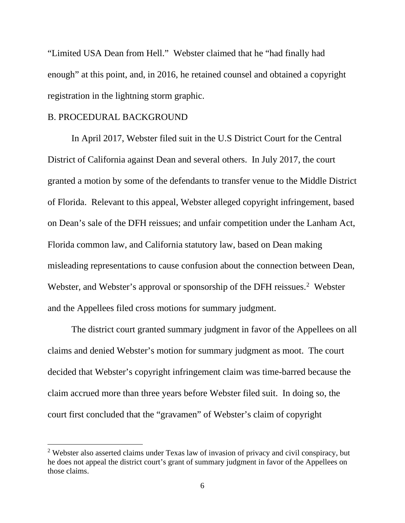"Limited USA Dean from Hell." Webster claimed that he "had finally had enough" at this point, and, in 2016, he retained counsel and obtained a copyright registration in the lightning storm graphic.

## B. PROCEDURAL BACKGROUND

In April 2017, Webster filed suit in the U.S District Court for the Central District of California against Dean and several others. In July 2017, the court granted a motion by some of the defendants to transfer venue to the Middle District of Florida. Relevant to this appeal, Webster alleged copyright infringement, based on Dean's sale of the DFH reissues; and unfair competition under the Lanham Act, Florida common law, and California statutory law, based on Dean making misleading representations to cause confusion about the connection between Dean, Webster, and Webster's approval or sponsorship of the DFH reissues.<sup>[2](#page-5-0)</sup> Webster and the Appellees filed cross motions for summary judgment.

The district court granted summary judgment in favor of the Appellees on all claims and denied Webster's motion for summary judgment as moot. The court decided that Webster's copyright infringement claim was time-barred because the claim accrued more than three years before Webster filed suit. In doing so, the court first concluded that the "gravamen" of Webster's claim of copyright

<span id="page-5-0"></span><sup>&</sup>lt;sup>2</sup> Webster also asserted claims under Texas law of invasion of privacy and civil conspiracy, but he does not appeal the district court's grant of summary judgment in favor of the Appellees on those claims.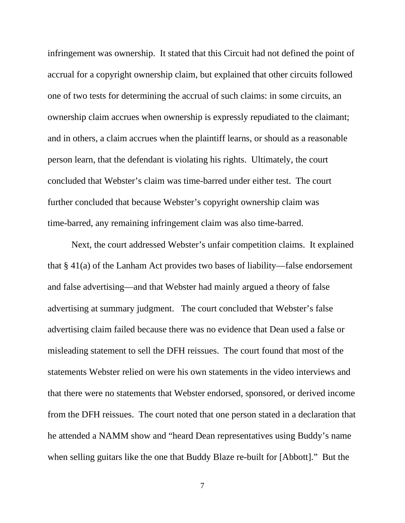infringement was ownership. It stated that this Circuit had not defined the point of accrual for a copyright ownership claim, but explained that other circuits followed one of two tests for determining the accrual of such claims: in some circuits, an ownership claim accrues when ownership is expressly repudiated to the claimant; and in others, a claim accrues when the plaintiff learns, or should as a reasonable person learn, that the defendant is violating his rights. Ultimately, the court concluded that Webster's claim was time-barred under either test. The court further concluded that because Webster's copyright ownership claim was time-barred, any remaining infringement claim was also time-barred.

Next, the court addressed Webster's unfair competition claims. It explained that § 41(a) of the Lanham Act provides two bases of liability—false endorsement and false advertising—and that Webster had mainly argued a theory of false advertising at summary judgment. The court concluded that Webster's false advertising claim failed because there was no evidence that Dean used a false or misleading statement to sell the DFH reissues. The court found that most of the statements Webster relied on were his own statements in the video interviews and that there were no statements that Webster endorsed, sponsored, or derived income from the DFH reissues. The court noted that one person stated in a declaration that he attended a NAMM show and "heard Dean representatives using Buddy's name when selling guitars like the one that Buddy Blaze re-built for [Abbott]." But the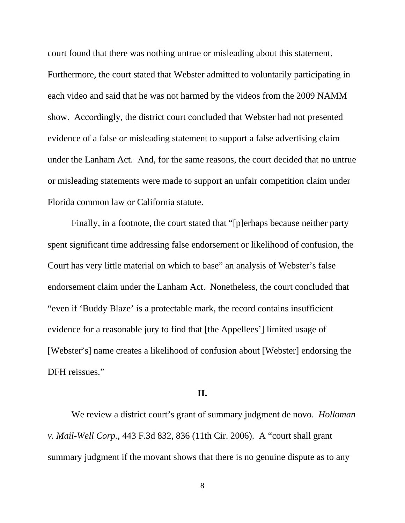court found that there was nothing untrue or misleading about this statement. Furthermore, the court stated that Webster admitted to voluntarily participating in each video and said that he was not harmed by the videos from the 2009 NAMM show. Accordingly, the district court concluded that Webster had not presented evidence of a false or misleading statement to support a false advertising claim under the Lanham Act. And, for the same reasons, the court decided that no untrue or misleading statements were made to support an unfair competition claim under Florida common law or California statute.

Finally, in a footnote, the court stated that "[p]erhaps because neither party spent significant time addressing false endorsement or likelihood of confusion, the Court has very little material on which to base" an analysis of Webster's false endorsement claim under the Lanham Act. Nonetheless, the court concluded that "even if 'Buddy Blaze' is a protectable mark, the record contains insufficient evidence for a reasonable jury to find that [the Appellees'] limited usage of [Webster's] name creates a likelihood of confusion about [Webster] endorsing the DFH reissues."

### **II.**

We review a district court's grant of summary judgment de novo. *Holloman v. Mail-Well Corp.*, 443 F.3d 832, 836 (11th Cir. 2006). A "court shall grant summary judgment if the movant shows that there is no genuine dispute as to any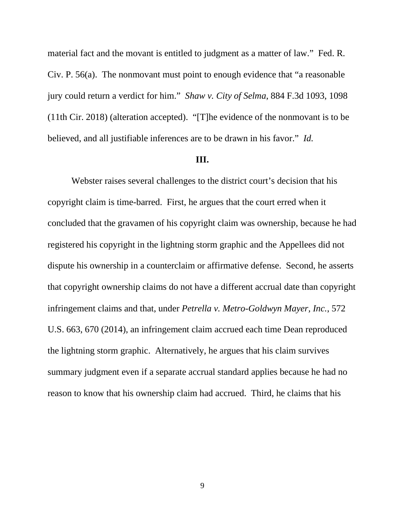material fact and the movant is entitled to judgment as a matter of law." Fed. R. Civ. P. 56(a). The nonmovant must point to enough evidence that "a reasonable jury could return a verdict for him." *Shaw v. City of Selma*, 884 F.3d 1093, 1098 (11th Cir. 2018) (alteration accepted). "[T]he evidence of the nonmovant is to be believed, and all justifiable inferences are to be drawn in his favor." *Id.*

#### **III.**

Webster raises several challenges to the district court's decision that his copyright claim is time-barred. First, he argues that the court erred when it concluded that the gravamen of his copyright claim was ownership, because he had registered his copyright in the lightning storm graphic and the Appellees did not dispute his ownership in a counterclaim or affirmative defense. Second, he asserts that copyright ownership claims do not have a different accrual date than copyright infringement claims and that, under *Petrella v. Metro-Goldwyn Mayer, Inc.*, 572 U.S. 663, 670 (2014), an infringement claim accrued each time Dean reproduced the lightning storm graphic. Alternatively, he argues that his claim survives summary judgment even if a separate accrual standard applies because he had no reason to know that his ownership claim had accrued. Third, he claims that his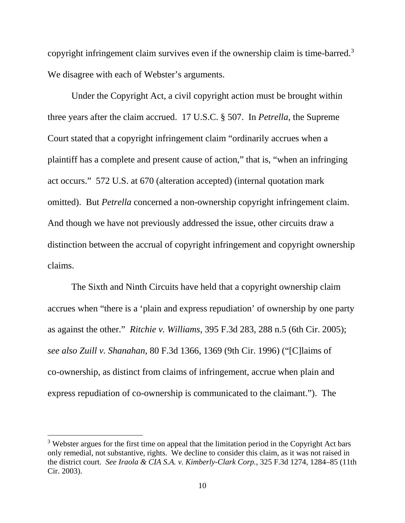copyright infringement claim survives even if the ownership claim is time-barred. [3](#page-9-0) We disagree with each of Webster's arguments.

Under the Copyright Act, a civil copyright action must be brought within three years after the claim accrued. 17 U.S.C. § 507. In *Petrella*, the Supreme Court stated that a copyright infringement claim "ordinarily accrues when a plaintiff has a complete and present cause of action," that is, "when an infringing act occurs." 572 U.S. at 670 (alteration accepted) (internal quotation mark omitted). But *Petrella* concerned a non-ownership copyright infringement claim. And though we have not previously addressed the issue, other circuits draw a distinction between the accrual of copyright infringement and copyright ownership claims.

The Sixth and Ninth Circuits have held that a copyright ownership claim accrues when "there is a 'plain and express repudiation' of ownership by one party as against the other." *Ritchie v. Williams*, 395 F.3d 283, 288 n.5 (6th Cir. 2005); *see also Zuill v. Shanahan*, 80 F.3d 1366, 1369 (9th Cir. 1996) ("[C]laims of co-ownership, as distinct from claims of infringement, accrue when plain and express repudiation of co-ownership is communicated to the claimant."). The

<span id="page-9-0"></span> $3$  Webster argues for the first time on appeal that the limitation period in the Copyright Act bars only remedial, not substantive, rights. We decline to consider this claim, as it was not raised in the district court. *See Iraola & CIA S.A. v. Kimberly-Clark Corp.*, 325 F.3d 1274, 1284–85 (11th Cir. 2003).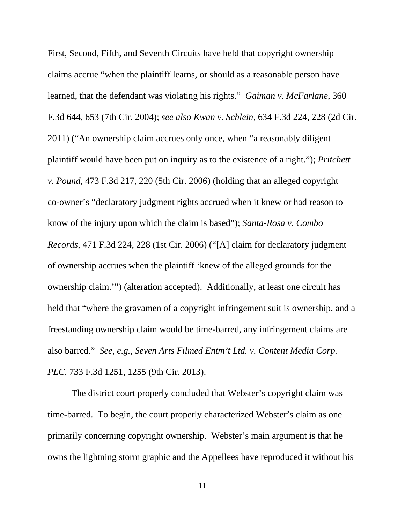First, Second, Fifth, and Seventh Circuits have held that copyright ownership claims accrue "when the plaintiff learns, or should as a reasonable person have learned, that the defendant was violating his rights." *Gaiman v. McFarlane*, 360 F.3d 644, 653 (7th Cir. 2004); *see also Kwan v. Schlein*, 634 F.3d 224, 228 (2d Cir. 2011) ("An ownership claim accrues only once, when "a reasonably diligent plaintiff would have been put on inquiry as to the existence of a right."); *Pritchett v. Pound*, 473 F.3d 217, 220 (5th Cir. 2006) (holding that an alleged copyright co-owner's "declaratory judgment rights accrued when it knew or had reason to know of the injury upon which the claim is based"); *Santa-Rosa v. Combo Records*, 471 F.3d 224, 228 (1st Cir. 2006) ("[A] claim for declaratory judgment of ownership accrues when the plaintiff 'knew of the alleged grounds for the ownership claim.'") (alteration accepted). Additionally, at least one circuit has held that "where the gravamen of a copyright infringement suit is ownership, and a freestanding ownership claim would be time-barred, any infringement claims are also barred." *See, e.g.*, *Seven Arts Filmed Entm't Ltd. v. Content Media Corp. PLC*, 733 F.3d 1251, 1255 (9th Cir. 2013).

The district court properly concluded that Webster's copyright claim was time-barred. To begin, the court properly characterized Webster's claim as one primarily concerning copyright ownership. Webster's main argument is that he owns the lightning storm graphic and the Appellees have reproduced it without his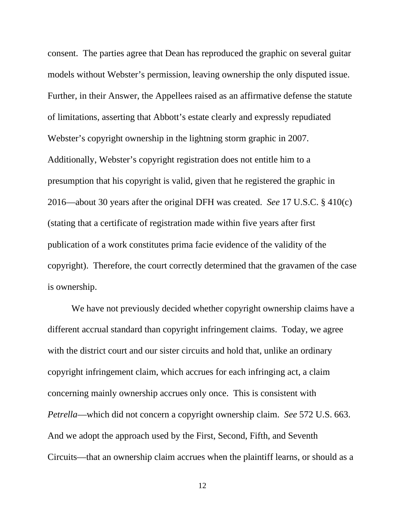consent. The parties agree that Dean has reproduced the graphic on several guitar models without Webster's permission, leaving ownership the only disputed issue. Further, in their Answer, the Appellees raised as an affirmative defense the statute of limitations, asserting that Abbott's estate clearly and expressly repudiated Webster's copyright ownership in the lightning storm graphic in 2007. Additionally, Webster's copyright registration does not entitle him to a presumption that his copyright is valid, given that he registered the graphic in 2016—about 30 years after the original DFH was created. *See* 17 U.S.C. § 410(c) (stating that a certificate of registration made within five years after first publication of a work constitutes prima facie evidence of the validity of the copyright). Therefore, the court correctly determined that the gravamen of the case is ownership.

We have not previously decided whether copyright ownership claims have a different accrual standard than copyright infringement claims. Today, we agree with the district court and our sister circuits and hold that, unlike an ordinary copyright infringement claim, which accrues for each infringing act, a claim concerning mainly ownership accrues only once. This is consistent with *Petrella*—which did not concern a copyright ownership claim. *See* 572 U.S. 663. And we adopt the approach used by the First, Second, Fifth, and Seventh Circuits—that an ownership claim accrues when the plaintiff learns, or should as a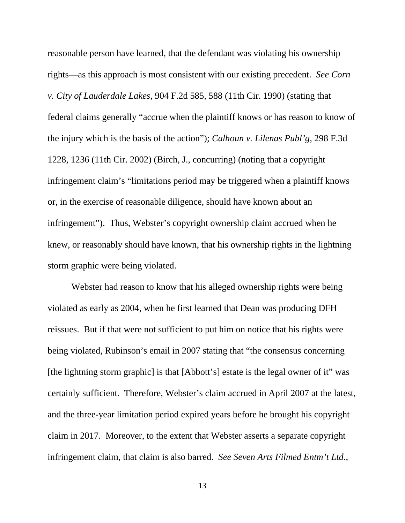reasonable person have learned, that the defendant was violating his ownership rights—as this approach is most consistent with our existing precedent. *See Corn v. City of Lauderdale Lakes*, 904 F.2d 585, 588 (11th Cir. 1990) (stating that federal claims generally "accrue when the plaintiff knows or has reason to know of the injury which is the basis of the action"); *Calhoun v. Lilenas Publ'g*, 298 F.3d 1228, 1236 (11th Cir. 2002) (Birch, J., concurring) (noting that a copyright infringement claim's "limitations period may be triggered when a plaintiff knows or, in the exercise of reasonable diligence, should have known about an infringement"). Thus, Webster's copyright ownership claim accrued when he knew, or reasonably should have known, that his ownership rights in the lightning storm graphic were being violated.

Webster had reason to know that his alleged ownership rights were being violated as early as 2004, when he first learned that Dean was producing DFH reissues. But if that were not sufficient to put him on notice that his rights were being violated, Rubinson's email in 2007 stating that "the consensus concerning [the lightning storm graphic] is that [Abbott's] estate is the legal owner of it" was certainly sufficient. Therefore, Webster's claim accrued in April 2007 at the latest, and the three-year limitation period expired years before he brought his copyright claim in 2017. Moreover, to the extent that Webster asserts a separate copyright infringement claim, that claim is also barred. *See Seven Arts Filmed Entm't Ltd.*,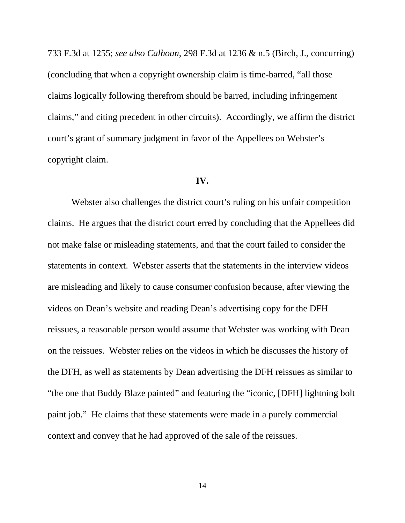733 F.3d at 1255; *see also Calhoun*, 298 F.3d at 1236 & n.5 (Birch, J., concurring) (concluding that when a copyright ownership claim is time-barred, "all those claims logically following therefrom should be barred, including infringement claims," and citing precedent in other circuits). Accordingly, we affirm the district court's grant of summary judgment in favor of the Appellees on Webster's copyright claim.

#### **IV.**

Webster also challenges the district court's ruling on his unfair competition claims. He argues that the district court erred by concluding that the Appellees did not make false or misleading statements, and that the court failed to consider the statements in context. Webster asserts that the statements in the interview videos are misleading and likely to cause consumer confusion because, after viewing the videos on Dean's website and reading Dean's advertising copy for the DFH reissues, a reasonable person would assume that Webster was working with Dean on the reissues. Webster relies on the videos in which he discusses the history of the DFH, as well as statements by Dean advertising the DFH reissues as similar to "the one that Buddy Blaze painted" and featuring the "iconic, [DFH] lightning bolt paint job." He claims that these statements were made in a purely commercial context and convey that he had approved of the sale of the reissues.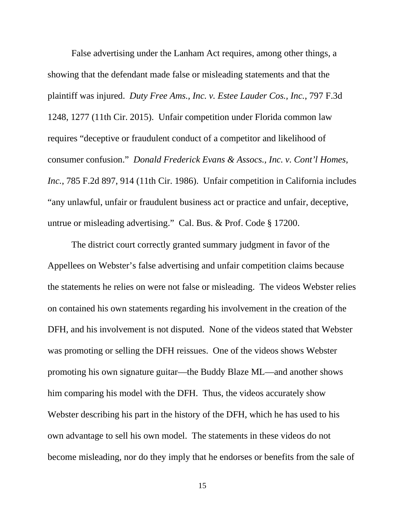False advertising under the Lanham Act requires, among other things, a showing that the defendant made false or misleading statements and that the plaintiff was injured. *Duty Free Ams., Inc. v. Estee Lauder Cos., Inc.*, 797 F.3d 1248, 1277 (11th Cir. 2015). Unfair competition under Florida common law requires "deceptive or fraudulent conduct of a competitor and likelihood of consumer confusion." *Donald Frederick Evans & Assocs., Inc. v. Cont'l Homes, Inc.*, 785 F.2d 897, 914 (11th Cir. 1986). Unfair competition in California includes "any unlawful, unfair or fraudulent business act or practice and unfair, deceptive, untrue or misleading advertising." Cal. Bus. & Prof. Code § 17200.

The district court correctly granted summary judgment in favor of the Appellees on Webster's false advertising and unfair competition claims because the statements he relies on were not false or misleading. The videos Webster relies on contained his own statements regarding his involvement in the creation of the DFH, and his involvement is not disputed. None of the videos stated that Webster was promoting or selling the DFH reissues. One of the videos shows Webster promoting his own signature guitar—the Buddy Blaze ML—and another shows him comparing his model with the DFH. Thus, the videos accurately show Webster describing his part in the history of the DFH, which he has used to his own advantage to sell his own model. The statements in these videos do not become misleading, nor do they imply that he endorses or benefits from the sale of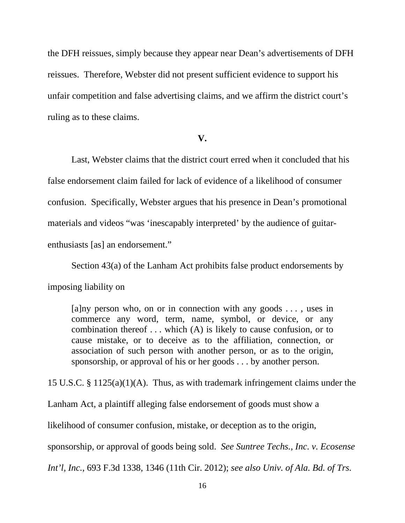the DFH reissues, simply because they appear near Dean's advertisements of DFH reissues. Therefore, Webster did not present sufficient evidence to support his unfair competition and false advertising claims, and we affirm the district court's ruling as to these claims.

#### **V.**

Last, Webster claims that the district court erred when it concluded that his false endorsement claim failed for lack of evidence of a likelihood of consumer confusion. Specifically, Webster argues that his presence in Dean's promotional materials and videos "was 'inescapably interpreted' by the audience of guitarenthusiasts [as] an endorsement."

Section 43(a) of the Lanham Act prohibits false product endorsements by

imposing liability on

 $[a]$ ny person who, on or in connection with any goods ..., uses in commerce any word, term, name, symbol, or device, or any combination thereof . . . which (A) is likely to cause confusion, or to cause mistake, or to deceive as to the affiliation, connection, or association of such person with another person, or as to the origin, sponsorship, or approval of his or her goods . . . by another person.

15 U.S.C. § 1125(a)(1)(A). Thus, as with trademark infringement claims under the

Lanham Act, a plaintiff alleging false endorsement of goods must show a

likelihood of consumer confusion, mistake, or deception as to the origin,

sponsorship, or approval of goods being sold. *See Suntree Techs., Inc. v. Ecosense* 

*Int'l, Inc.*, 693 F.3d 1338, 1346 (11th Cir. 2012); *see also Univ. of Ala. Bd. of Trs.*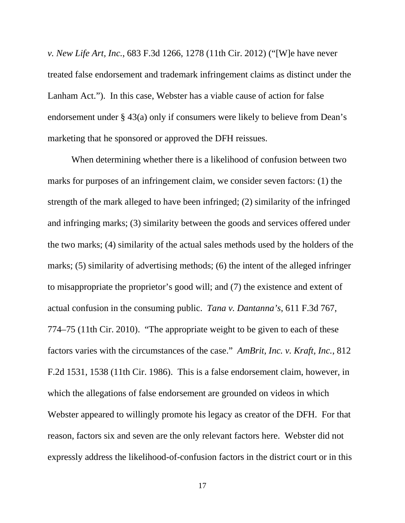*v. New Life Art, Inc.*, 683 F.3d 1266, 1278 (11th Cir. 2012) ("[W]e have never treated false endorsement and trademark infringement claims as distinct under the Lanham Act."). In this case, Webster has a viable cause of action for false endorsement under § 43(a) only if consumers were likely to believe from Dean's marketing that he sponsored or approved the DFH reissues.

When determining whether there is a likelihood of confusion between two marks for purposes of an infringement claim, we consider seven factors: (1) the strength of the mark alleged to have been infringed; (2) similarity of the infringed and infringing marks; (3) similarity between the goods and services offered under the two marks; (4) similarity of the actual sales methods used by the holders of the marks; (5) similarity of advertising methods; (6) the intent of the alleged infringer to misappropriate the proprietor's good will; and (7) the existence and extent of actual confusion in the consuming public. *Tana v. Dantanna's*, 611 F.3d 767, 774–75 (11th Cir. 2010). "The appropriate weight to be given to each of these factors varies with the circumstances of the case." *AmBrit, Inc. v. Kraft, Inc.*, 812 F.2d 1531, 1538 (11th Cir. 1986). This is a false endorsement claim, however, in which the allegations of false endorsement are grounded on videos in which Webster appeared to willingly promote his legacy as creator of the DFH. For that reason, factors six and seven are the only relevant factors here. Webster did not expressly address the likelihood-of-confusion factors in the district court or in this